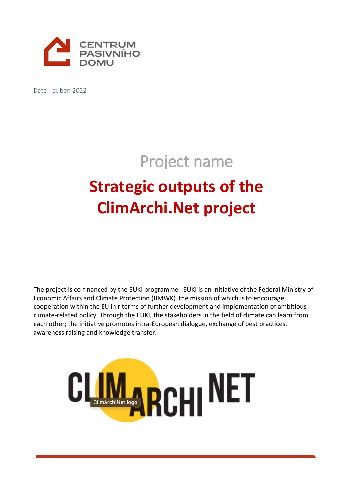

Date - duben 2022

# Project name

# **Strategic outputs of the ClimArchi.Net project**

The project is co-financed by the EUKI programme. EUKI is an initiative of the Federal Ministry of Economic Affairs and Climate Protection (BMWK), the mission of which is to encourage cooperation within the EU in r terms of further development and implementation of ambitious climate-related policy. Through the EUKI, the stakeholders in the field of climate can learn from each other; the initiative promotes intra-European dialogue, exchange of best practices, awareness raising and knowledge transfer.

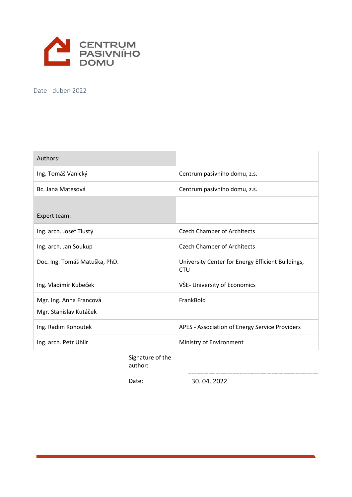

Date - duben 2022

| Authors:                                          |                                                                 |  |
|---------------------------------------------------|-----------------------------------------------------------------|--|
| Ing. Tomáš Vanický                                | Centrum pasivního domu, z.s.                                    |  |
| Bc. Jana Matesová                                 | Centrum pasivního domu, z.s.                                    |  |
| Expert team:                                      |                                                                 |  |
| Ing. arch. Josef Tlustý                           | <b>Czech Chamber of Architects</b>                              |  |
| Ing. arch. Jan Soukup                             | <b>Czech Chamber of Architects</b>                              |  |
| Doc. Ing. Tomáš Matuška, PhD.                     | University Center for Energy Efficient Buildings,<br><b>CTU</b> |  |
| Ing. Vladimír Kubeček                             | VŠE- University of Economics                                    |  |
| Mgr. Ing. Anna Francová<br>Mgr. Stanislav Kutáček | FrankBold                                                       |  |
| Ing. Radim Kohoutek                               | APES - Association of Energy Service Providers                  |  |
| Ing. arch. Petr Uhlir                             | Ministry of Environment                                         |  |

Signature of the author:

Date: 30. 04. 2022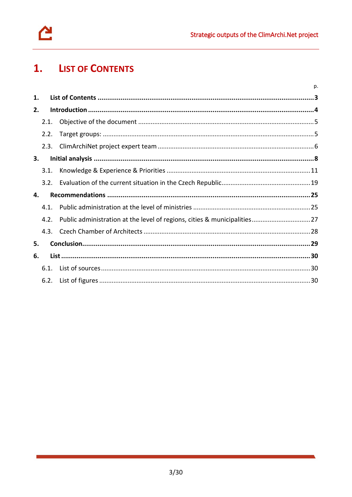

#### <span id="page-2-0"></span> $1.$ **LIST OF CONTENTS**

|                |      |  | p. |
|----------------|------|--|----|
| $\mathbf{1}$ . |      |  |    |
| 2.             |      |  |    |
|                | 2.1. |  |    |
|                | 2.2. |  |    |
|                | 2.3. |  |    |
| 3.             |      |  |    |
|                | 3.1. |  |    |
|                | 3.2. |  |    |
| 4.             |      |  |    |
|                | 4.1  |  |    |
|                | 4.2. |  |    |
|                | 4.3. |  |    |
| 5.             |      |  |    |
| 6.             |      |  |    |
|                | 6.1. |  |    |
|                | 6.2. |  |    |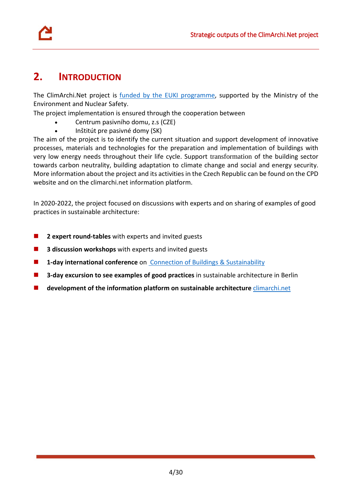

# <span id="page-3-0"></span>**2. INTRODUCTION**

The ClimArchi.Net project is funded by the [EUKI programme,](https://www.euki.de/en/euki-projects/climarchinet/) supported by the Ministry of the Environment and Nuclear Safety.

The project implementation is ensured through the cooperation between

- Centrum pasivního domu, z.s (CZE)
- Inštitút pre pasivné domy (SK)

The aim of the project is to identify the current situation and support development of innovative processes, materials and technologies for the preparation and implementation of buildings with very low energy needs throughout their life cycle. Support transformation of the building sector towards carbon neutrality, building adaptation to climate change and social and energy security. More information about the project and its activities in the Czech Republic can be found on th[e CPD](https://www.pasivnidomy.cz/climarchinet-program-euki/t4837) website and on the [climarchi.net](https://climarchi.net/cz) information platform.

In 2020-2022, the project focused on discussions with experts and on sharing of examples of good practices in sustainable architecture:

- **2 expert round-tables** with experts and invited guests
- **3 discussion workshops** with experts and invited guests
- **1-day international conference** on [Connection of Buildings & Sustainability](https://climarchi.net/novinky/clanok/13/on-line-mezinarodni-konference-spojeni-staveb-udrzitelnosti-v-cr)
- **3-day excursion to see examples of good practices** in sustainable architecture in Berlin
- **development of the information platform on sustainable architecture** [climarchi.net](https://climarchi.net/cz)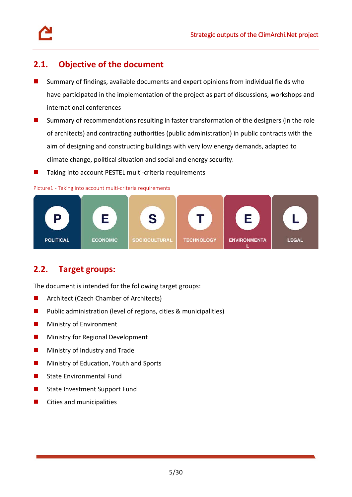## <span id="page-4-0"></span>**2.1. Objective of the document**

- Summary of findings, available documents and expert opinions from individual fields who have participated in the implementation of the project as part of discussions, workshops and international conferences
- **Summary of recommendations resulting in faster transformation of the designers (in the role** of architects) and contracting authorities (public administration) in public contracts with the aim of designing and constructing buildings with very low energy demands, adapted to climate change, political situation and social and energy security.
- $\blacksquare$  Taking into account PESTEL multi-criteria requirements

#### <span id="page-4-2"></span>Picture1 - Taking into account multi-criteria requirements



# <span id="page-4-1"></span>**2.2. Target groups:**

The document is intended for the following target groups:

- **Architect (Czech Chamber of Architects)**
- **Public administration (level of regions, cities & municipalities)**
- **Ministry of Environment**
- **Ministry for Regional Development**
- **Ministry of Industry and Trade**
- **Ministry of Education, Youth and Sports**
- State Environmental Fund
- State Investment Support Fund
- Cities and municipalities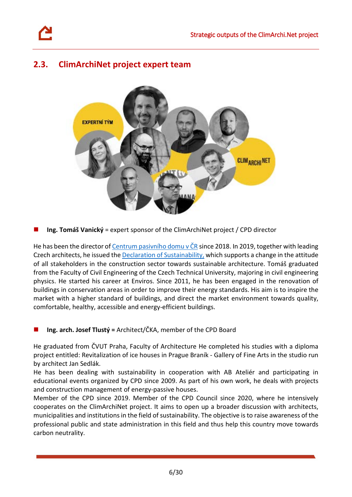# <span id="page-5-0"></span>**2.3. ClimArchiNet project expert team**



**Ing. Tomáš Vanický** = expert sponsor of the ClimArchiNet project / CPD director

He has been the director of [Centrum pasivního domu v ČR](https://www.pasivnidomy.cz/) since 2018. In 2019, together with leading Czech architects, he issued th[e Declaration of Sustainability,](https://www.architects-for-future.cz/) which supports a change in the attitude of all stakeholders in the construction sector towards sustainable architecture. Tomáš graduated from the Faculty of Civil Engineering of the Czech Technical University, majoring in civil engineering physics. He started his career at Enviros. Since 2011, he has been engaged in the renovation of buildings in conservation areas in order to improve their energy standards. His aim is to inspire the market with a higher standard of buildings, and direct the market environment towards quality, comfortable, healthy, accessible and energy-efficient buildings.

#### **Ing. arch. Josef Tlustý =** Architect/ČKA, member of the CPD Board

He graduated from ČVUT Praha, Faculty of Architecture He completed his studies with a diploma project entitled: Revitalization of ice houses in Prague Braník - Gallery of Fine Arts in the studio run by architect Jan Sedlák.

He has been dealing with sustainability in cooperation with AB Ateliér and participating in educational events organized by CPD since 2009. As part of his own work, he deals with projects and construction management of energy-passive houses.

Member of the CPD since 2019. Member of the CPD Council since 2020, where he intensively cooperates on the ClimArchiNet project. It aims to open up a broader discussion with architects, municipalities and institutions in the field of sustainability. The objective is to raise awareness of the professional public and state administration in this field and thus help this country move towards carbon neutrality.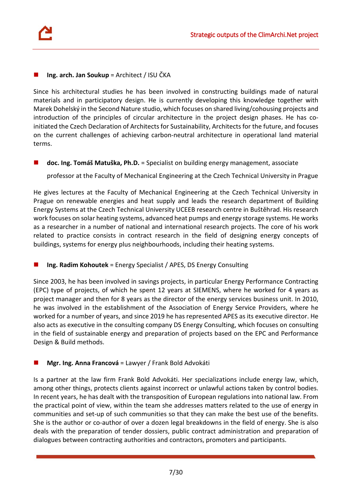#### **Ing. arch. Jan Soukup** = Architect / ISU ČKA

Since his architectural studies he has been involved in constructing buildings made of natural materials and in participatory design. He is currently developing this knowledge together with Marek Dohelský in the Second Nature studio, which focuses on shared living/cohousing projects and introduction of the principles of circular architecture in the project design phases. He has coinitiated the Czech Declaration of Architects for Sustainability, Architects for the future, and focuses on the current challenges of achieving carbon-neutral architecture in operational land material terms.

#### ■ **doc. Ing. Tomáš Matuška, Ph.D.** = Specialist on building energy management, associate

professor at the Faculty of Mechanical Engineering at the Czech Technical University in Prague

He gives lectures at the Faculty of Mechanical Engineering at the Czech Technical University in Prague on renewable energies and heat supply and leads the research department of Building Energy Systems at the Czech Technical University UCEEB research centre in Buštěhrad. His research work focuses on solar heating systems, advanced heat pumps and energy storage systems. He works as a researcher in a number of national and international research projects. The core of his work related to practice consists in contract research in the field of designing energy concepts of buildings, systems for energy plus neighbourhoods, including their heating systems.

#### **Ing. Radim Kohoutek** = Energy Specialist / APES, DS Energy Consulting

Since 2003, he has been involved in savings projects, in particular Energy Performance Contracting (EPC) type of projects, of which he spent 12 years at SIEMENS, where he worked for 4 years as project manager and then for 8 years as the director of the energy services business unit. In 2010, he was involved in the establishment of the Association of Energy Service Providers, where he worked for a number of years, and since 2019 he has represented APES as its executive director. He also acts as executive in the consulting company DS Energy Consulting, which focuses on consulting in the field of sustainable energy and preparation of projects based on the EPC and Performance Design & Build methods.

#### **Mgr. Ing. Anna Francová** = Lawyer / Frank Bold Advokáti

Is a partner at the law firm Frank Bold Advokáti. Her specializations include energy law, which, among other things, protects clients against incorrect or unlawful actions taken by control bodies. In recent years, he has dealt with the transposition of European regulations into national law. From the practical point of view, within the team she addresses matters related to the use of energy in communities and set-up of such communities so that they can make the best use of the benefits. She is the author or co-author of over a dozen legal breakdowns in the field of energy. She is also deals with the preparation of tender dossiers, public contract administration and preparation of dialogues between contracting authorities and contractors, promoters and participants.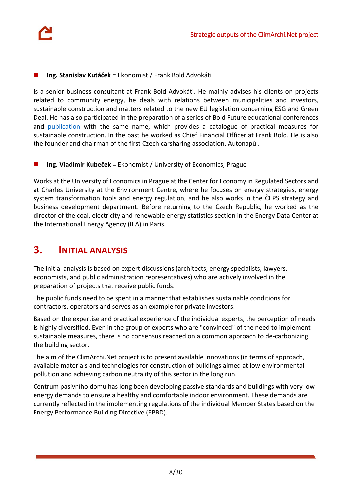#### **Ing. Stanislav Kutáček** = Ekonomist / Frank Bold Advokáti

Is a senior business consultant at Frank Bold Advokáti. He mainly advises his clients on projects related to community energy, he deals with relations between municipalities and investors, sustainable construction and matters related to the new EU legislation concerning ESG and Green Deal. He has also participated in the preparation of a series of Bold Future educational conferences and [publication](https://www.fbadvokati.cz/cs/sluzby/7306-bold-future-e-book-o-udrzitelnem-stavitelstvim-s-praktickym-katalogem-opatreni) with the same name, which provides a catalogue of practical measures for sustainable construction. In the past he worked as Chief Financial Officer at Frank Bold. He is also the founder and chairman of the first Czech carsharing association, Autonapůl.

**Ing. Vladimír Kubeček** = Ekonomist / University of Economics, Prague

Works at the University of Economics in Prague at the Center for Economy in Regulated Sectors and at Charles University at the Environment Centre, where he focuses on energy strategies, energy system transformation tools and energy regulation, and he also works in the ČEPS strategy and business development department. Before returning to the Czech Republic, he worked as the director of the coal, electricity and renewable energy statistics section in the Energy Data Center at the International Energy Agency (IEA) in Paris.

# <span id="page-7-0"></span>**3. INITIAL ANALYSIS**

The initial analysis is based on expert discussions (architects, energy specialists, lawyers, economists, and public administration representatives) who are actively involved in the preparation of projects that receive public funds.

The public funds need to be spent in a manner that establishes sustainable conditions for contractors, operators and serves as an example for private investors.

Based on the expertise and practical experience of the individual experts, the perception of needs is highly diversified. Even in the group of experts who are "convinced" of the need to implement sustainable measures, there is no consensus reached on a common approach to de-carbonizing the building sector.

The aim of the ClimArchi.Net project is to present available innovations (in terms of approach, available materials and technologies for construction of buildings aimed at low environmental pollution and achieving carbon neutrality of this sector in the long run.

Centrum pasivního domu has long been developing passive standards and buildings with very low energy demands to ensure a healthy and comfortable indoor environment. These demands are currently reflected in the implementing regulations of the individual Member States based on the Energy Performance Building Directive (EPBD).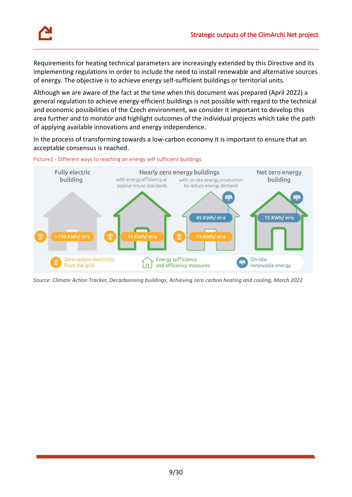

Requirements for heating technical parameters are increasingly extended by this Directive and its implementing regulations in order to include the need to install renewable and alternative sources of energy. The objective is to achieve energy self-sufficient buildings or territorial units.

Although we are aware of the fact at the time when this document was prepared (April 2022) a general regulation to achieve energy-efficient buildings is not possible with regard to the technical and economic possibilities of the Czech environment, we consider it important to develop this area further and to monitor and highlight outcomes of the individual projects which take the path of applying available innovations and energy independence.

In the process of transforming towards a low-carbon economy it is important to ensure that an acceptable consensus is reached.

<span id="page-8-0"></span>



*Source: Climate Action Tracker, Decarbonising buildings, Achieving zero carbon heating and cooling, March 2022*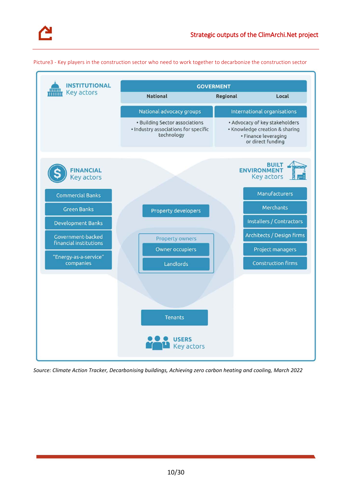

<span id="page-9-0"></span>Picture3 - Key players in the construction sector who need to work together to decarbonize the construction sector

| <b>INSTITUTIONAL</b><br>Key actors                 | <b>GOVERMENT</b>                                                                     |                    |                                                                                                               |  |
|----------------------------------------------------|--------------------------------------------------------------------------------------|--------------------|---------------------------------------------------------------------------------------------------------------|--|
|                                                    | <b>National</b>                                                                      | Regional           | Local                                                                                                         |  |
|                                                    | National advocacy groups                                                             |                    | International organisations                                                                                   |  |
|                                                    | • Building Sector associations<br>· Industry associations for specific<br>technology |                    | • Advocacy of key stakeholders<br>• Knowledge creation & sharing<br>• Finance leveraging<br>or direct funding |  |
| <b>FINANCIAL</b><br>Key actors                     |                                                                                      | <b>ENVIRONMENT</b> | <b>BUILT</b><br><b>Key actors</b>                                                                             |  |
| <b>Commercial Banks</b>                            |                                                                                      |                    | Manufacturers                                                                                                 |  |
| <b>Green Banks</b>                                 | Property developers                                                                  |                    | Merchants                                                                                                     |  |
| <b>Development Banks</b>                           |                                                                                      |                    | Installers / Contractors                                                                                      |  |
| Government-backed<br><b>financial institutions</b> | Property owners                                                                      |                    | Architects / Design firms                                                                                     |  |
|                                                    | <b>Owner occupiers</b>                                                               |                    | Project managers                                                                                              |  |
| "Energy-as-a-service"<br>companies                 | Landlords                                                                            |                    | <b>Construction firms</b>                                                                                     |  |
|                                                    | <b>Tenants</b><br><b>USERS</b><br>Key actors                                         |                    |                                                                                                               |  |

*Source: Climate Action Tracker, Decarbonising buildings, Achieving zero carbon heating and cooling, March 2022*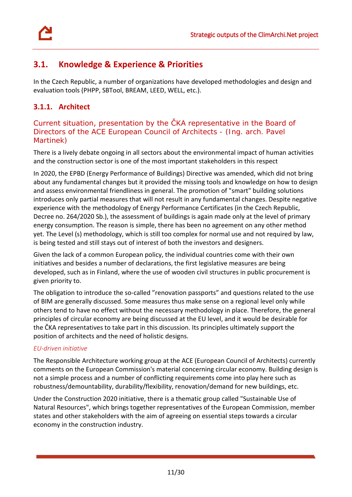

# <span id="page-10-0"></span>**3.1. Knowledge & Experience & Priorities**

In the Czech Republic, a number of organizations have developed methodologies and design and evaluation tools (PHPP, SBTool, BREAM, LEED, WELL, etc.).

### **3.1.1. Architect**

Current situation, presentation by the ČKA representative in the Board of Directors of the ACE European Council of Architects - (Ing. arch. Pavel Martinek)

There is a lively debate ongoing in all sectors about the environmental impact of human activities and the construction sector is one of the most important stakeholders in this respect

In 2020, the EPBD (Energy Performance of Buildings) Directive was amended, which did not bring about any fundamental changes but it provided the missing tools and knowledge on how to design and assess environmental friendliness in general. The promotion of "smart" building solutions introduces only partial measures that will not result in any fundamental changes. Despite negative experience with the methodology of Energy Performance Certificates (in the Czech Republic, Decree no. 264/2020 Sb.), the assessment of buildings is again made only at the level of primary energy consumption. The reason is simple, there has been no agreement on any other method yet. The Level (s) methodology, which is still too complex for normal use and not required by law, is being tested and still stays out of interest of both the investors and designers.

Given the lack of a common European policy, the individual countries come with their own initiatives and besides a number of declarations, the first legislative measures are being developed, such as in Finland, where the use of wooden civil structures in public procurement is given priority to.

The obligation to introduce the so-called "renovation passports" and questions related to the use of BIM are generally discussed. Some measures thus make sense on a regional level only while others tend to have no effect without the necessary methodology in place. Therefore, the general principles of circular economy are being discussed at the EU level, and it would be desirable for the ČKA representatives to take part in this discussion. Its principles ultimately support the position of architects and the need of holistic designs.

#### *EU-driven initiative*

The Responsible Architecture working group at the ACE (European Council of Architects) currently comments on the European Commission's material concerning circular economy. Building design is not a simple process and a number of conflicting requirements come into play here such as robustness/demountability, durability/flexibility, renovation/demand for new buildings, etc.

Under the Construction 2020 initiative, there is a thematic group called "Sustainable Use of Natural Resources", which brings together representatives of the European Commission, member states and other stakeholders with the aim of agreeing on essential steps towards a circular economy in the construction industry.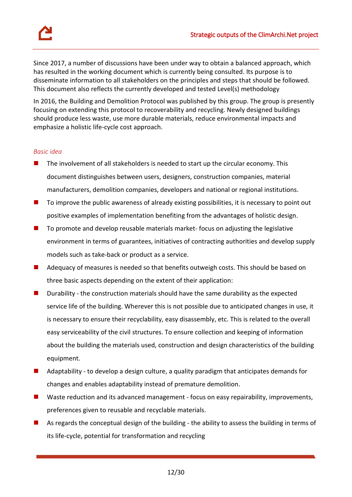Since 2017, a number of discussions have been under way to obtain a balanced approach, which has resulted in the working document which is currently being consulted. Its purpose is to disseminate information to all stakeholders on the principles and steps that should be followed. This document also reflects the currently developed and tested Level(s) methodology

In 2016, the Building and Demolition Protocol was published by this group. The group is presently focusing on extending this protocol to recoverability and recycling. Newly designed buildings should produce less waste, use more durable materials, reduce environmental impacts and emphasize a holistic life-cycle cost approach.

#### *Basic idea*

- $\blacksquare$  The involvement of all stakeholders is needed to start up the circular economy. This document distinguishes between users, designers, construction companies, material manufacturers, demolition companies, developers and national or regional institutions.
- To improve the public awareness of already existing possibilities, it is necessary to point out positive examples of implementation benefiting from the advantages of holistic design.
- To promote and develop reusable materials market- focus on adjusting the legislative environment in terms of guarantees, initiatives of contracting authorities and develop supply models such as take-back or product as a service.
- Adequacy of measures is needed so that benefits outweigh costs. This should be based on three basic aspects depending on the extent of their application:
- Durability the construction materials should have the same durability as the expected service life of the building. Wherever this is not possible due to anticipated changes in use, it is necessary to ensure their recyclability, easy disassembly, etc. This is related to the overall easy serviceability of the civil structures. To ensure collection and keeping of information about the building the materials used, construction and design characteristics of the building equipment.
- Adaptability to develop a design culture, a quality paradigm that anticipates demands for changes and enables adaptability instead of premature demolition.
- Waste reduction and its advanced management focus on easy repairability, improvements, preferences given to reusable and recyclable materials.
- As regards the conceptual design of the building the ability to assess the building in terms of its life-cycle, potential for transformation and recycling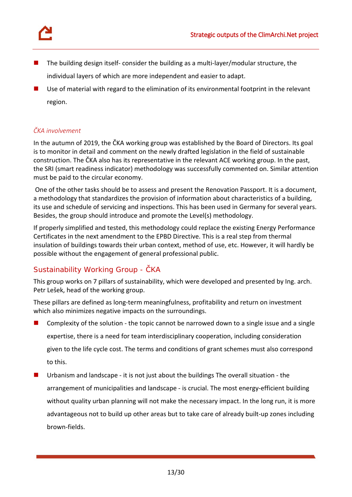

- The building design itself- consider the building as a multi-layer/modular structure, the individual layers of which are more independent and easier to adapt.
- Use of material with regard to the elimination of its environmental footprint in the relevant region.

#### *ČKA involvement*

In the autumn of 2019, the ČKA working group was established by the Board of Directors. Its goal is to monitor in detail and comment on the newly drafted legislation in the field of sustainable construction. The ČKA also has its representative in the relevant ACE working group. In the past, the SRI (smart readiness indicator) methodology was successfully commented on. Similar attention must be paid to the circular economy.

One of the other tasks should be to assess and present the Renovation Passport. It is a document, a methodology that standardizes the provision of information about characteristics of a building, its use and schedule of servicing and inspections. This has been used in Germany for several years. Besides, the group should introduce and promote the Level(s) methodology.

If properly simplified and tested, this methodology could replace the existing Energy Performance Certificates in the next amendment to the EPBD Directive. This is a real step from thermal insulation of buildings towards their urban context, method of use, etc. However, it will hardly be possible without the engagement of general professional public.

## Sustainability Working Group - ČKA

This group works on 7 pillars of sustainability, which were developed and presented by Ing. arch. Petr Lešek, head of the working group.

These pillars are defined as long-term meaningfulness, profitability and return on investment which also minimizes negative impacts on the surroundings.

- Complexity of the solution the topic cannot be narrowed down to a single issue and a single expertise, there is a need for team interdisciplinary cooperation, including consideration given to the life cycle cost. The terms and conditions of grant schemes must also correspond to this.
- Urbanism and landscape it is not just about the buildings The overall situation the arrangement of municipalities and landscape - is crucial. The most energy-efficient building without quality urban planning will not make the necessary impact. In the long run, it is more advantageous not to build up other areas but to take care of already built-up zones including brown-fields.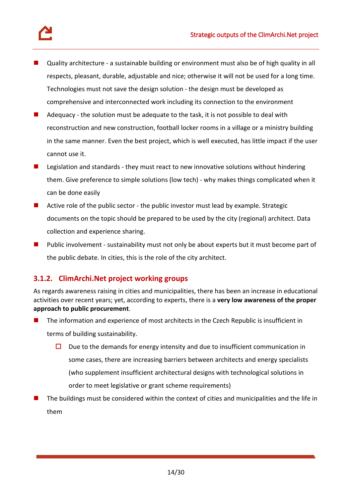

- Quality architecture a sustainable building or environment must also be of high quality in all respects, pleasant, durable, adjustable and nice; otherwise it will not be used for a long time. Technologies must not save the design solution - the design must be developed as comprehensive and interconnected work including its connection to the environment
- Adequacy the solution must be adequate to the task, it is not possible to deal with reconstruction and new construction, football locker rooms in a village or a ministry building in the same manner. Even the best project, which is well executed, has little impact if the user cannot use it.
- **Legislation and standards they must react to new innovative solutions without hindering** them. Give preference to simple solutions (low tech) - why makes things complicated when it can be done easily
- Active role of the public sector the public investor must lead by example. Strategic documents on the topic should be prepared to be used by the city (regional) architect. Data collection and experience sharing.
- Public involvement sustainability must not only be about experts but it must become part of the public debate. In cities, this is the role of the city architect.

### **3.1.2. ClimArchi.Net project working groups**

As regards awareness raising in cities and municipalities, there has been an increase in educational activities over recent years; yet, according to experts, there is a **very low awareness of the proper approach to public procurement**.

- **The information and experience of most architects in the Czech Republic is insufficient in** terms of building sustainability.
	- $\square$  Due to the demands for energy intensity and due to insufficient communication in some cases, there are increasing barriers between architects and energy specialists (who supplement insufficient architectural designs with technological solutions in order to meet legislative or grant scheme requirements)
- The buildings must be considered within the context of cities and municipalities and the life in them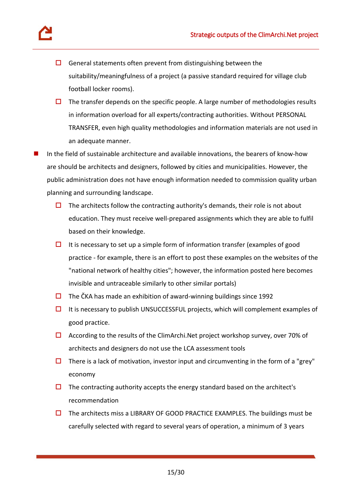

- $\Box$  General statements often prevent from distinguishing between the suitability/meaningfulness of a project (a passive standard required for village club football locker rooms).
- $\Box$  The transfer depends on the specific people. A large number of methodologies results in information overload for all experts/contracting authorities. Without PERSONAL TRANSFER, even high quality methodologies and information materials are not used in an adequate manner.
- In the field of sustainable architecture and available innovations, the bearers of know-how are should be architects and designers, followed by cities and municipalities. However, the public administration does not have enough information needed to commission quality urban planning and surrounding landscape.
	- $\Box$  The architects follow the contracting authority's demands, their role is not about education. They must receive well-prepared assignments which they are able to fulfil based on their knowledge.
	- $\Box$  It is necessary to set up a simple form of information transfer (examples of good practice - for example, there is an effort to post these examples on the websites of the "national network of healthy cities"; however, the information posted here becomes invisible and untraceable similarly to other similar portals)
	- $\Box$  The ČKA has made an exhibition of award-winning buildings since 1992
	- $\Box$  It is necessary to publish UNSUCCESSFUL projects, which will complement examples of good practice.
	- $\Box$  According to the results of the ClimArchi.Net project workshop survey, over 70% of architects and designers do not use the LCA assessment tools
	- $\Box$  There is a lack of motivation, investor input and circumventing in the form of a "grey" economy
	- $\Box$  The contracting authority accepts the energy standard based on the architect's recommendation
	- $\Box$  The architects miss a LIBRARY OF GOOD PRACTICE EXAMPLES. The buildings must be carefully selected with regard to several years of operation, a minimum of 3 years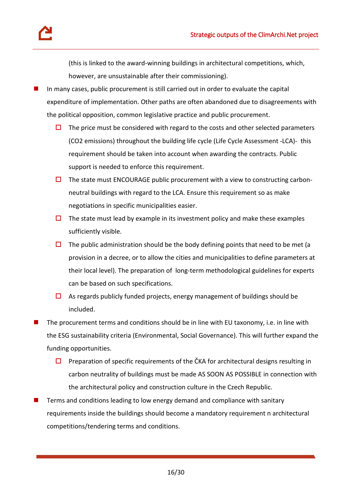(this is linked to the award-winning buildings in architectural competitions, which, however, are unsustainable after their commissioning).

- In many cases, public procurement is still carried out in order to evaluate the capital expenditure of implementation. Other paths are often abandoned due to disagreements with the political opposition, common legislative practice and public procurement.
	- $\Box$  The price must be considered with regard to the costs and other selected parameters (CO2 emissions) throughout the building life cycle (Life Cycle Assessment -LCA)- this requirement should be taken into account when awarding the contracts. Public support is needed to enforce this requirement.
	- $\Box$  The state must ENCOURAGE public procurement with a view to constructing carbonneutral buildings with regard to the LCA. Ensure this requirement so as make negotiations in specific municipalities easier.
	- $\Box$  The state must lead by example in its investment policy and make these examples sufficiently visible.
	- $\Box$  The public administration should be the body defining points that need to be met (a provision in a decree, or to allow the cities and municipalities to define parameters at their local level). The preparation of long-term methodological guidelines for experts can be based on such specifications.
	- $\Box$  As regards publicly funded projects, energy management of buildings should be included.
- The procurement terms and conditions should be in line with EU taxonomy, i.e. in line with the ESG sustainability criteria (Environmental, Social Governance). This will further expand the funding opportunities.
	- $\square$  Preparation of specific requirements of the ČKA for architectural designs resulting in carbon neutrality of buildings must be made AS SOON AS POSSIBLE in connection with the architectural policy and construction culture in the Czech Republic.
- Terms and conditions leading to low energy demand and compliance with sanitary requirements inside the buildings should become a mandatory requirement n architectural competitions/tendering terms and conditions.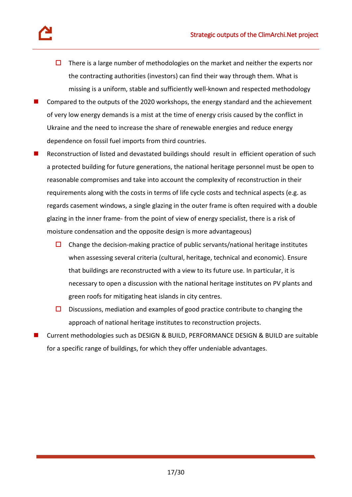- $\Box$  There is a large number of methodologies on the market and neither the experts nor the contracting authorities (investors) can find their way through them. What is missing is a uniform, stable and sufficiently well-known and respected methodology
- Compared to the outputs of the 2020 workshops, the energy standard and the achievement of very low energy demands is a mist at the time of energy crisis caused by the conflict in Ukraine and the need to increase the share of renewable energies and reduce energy dependence on fossil fuel imports from third countries.
- Reconstruction of listed and devastated buildings should result in efficient operation of such a protected building for future generations, the national heritage personnel must be open to reasonable compromises and take into account the complexity of reconstruction in their requirements along with the costs in terms of life cycle costs and technical aspects (e.g. as regards casement windows, a single glazing in the outer frame is often required with a double glazing in the inner frame- from the point of view of energy specialist, there is a risk of moisture condensation and the opposite design is more advantageous)
	- $\Box$  Change the decision-making practice of public servants/national heritage institutes when assessing several criteria (cultural, heritage, technical and economic). Ensure that buildings are reconstructed with a view to its future use. In particular, it is necessary to open a discussion with the national heritage institutes on PV plants and green roofs for mitigating heat islands in city centres.
	- $\square$  Discussions, mediation and examples of good practice contribute to changing the approach of national heritage institutes to reconstruction projects.
- Current methodologies such as DESIGN & BUILD, PERFORMANCE DESIGN & BUILD are suitable for a specific range of buildings, for which they offer undeniable advantages.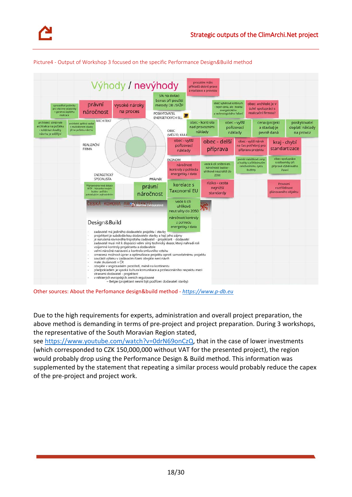

<span id="page-17-0"></span>Picture4 - Output of Workshop 3 focused on the specific Performance Design*&*Build method

Other sources: About the Perfomance design&build method - *[https://www.p-db.eu](https://www.p-db.eu/)*

Due to the high requirements for experts, administration and overall project preparation, the above method is demanding in terms of pre-project and project preparation. During 3 workshops, the representative of the South Moravian Region stated,

see [https://www.youtube.com/watch?v=0drN69onCzQ,](https://www.youtube.com/watch?v=0drN69onCzQ) that in the case of lower investments (which corresponded to CZK 150,000,000 without VAT for the presented project), the region would probably drop using the Performance Design & Build method. This information was supplemented by the statement that repeating a similar process would probably reduce the capex of the pre-project and project work.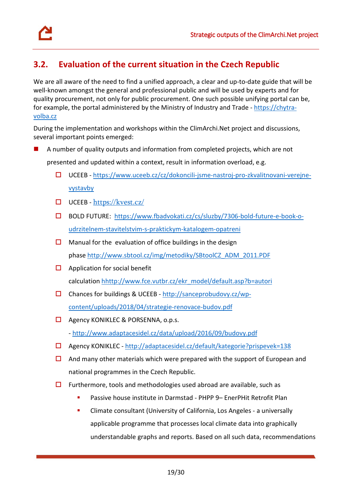



# <span id="page-18-0"></span>**3.2. Evaluation of the current situation in the Czech Republic**

We are all aware of the need to find a unified approach, a clear and up-to-date guide that will be well-known amongst the general and professional public and will be used by experts and for quality procurement, not only for public procurement. One such possible unifying portal can be, for example, the portal administered by the Ministry of Industry and Trade - [https://chytra](https://chytra-volba.cz/)[volba.cz](https://chytra-volba.cz/)

During the implementation and workshops within the ClimArchi.Net project and discussions, several important points emerged:

A number of quality outputs and information from completed projects, which are not

presented and updated within a context, result in information overload, e.g.

- $\square$  UCEEB [https://www.uceeb.cz/cz/dokoncili-jsme-nastroj-pro-zkvalitnovani-verejne](https://www.uceeb.cz/cz/dokoncili-jsme-nastroj-pro-zkvalitnovani-verejne-vystavby)[vystavby](https://www.uceeb.cz/cz/dokoncili-jsme-nastroj-pro-zkvalitnovani-verejne-vystavby)
- $\Box$  UCEEB <https://kvest.cz/>
- BOLD FUTURE: [https://www.fbadvokati.cz/cs/sluzby/7306-bold-future-e-book-o](https://www.fbadvokati.cz/cs/sluzby/7306-bold-future-e-book-o-udrzitelnem-stavitelstvim-s-praktickym-katalogem-opatreni)[udrzitelnem-stavitelstvim-s-praktickym-katalogem-opatreni](https://www.fbadvokati.cz/cs/sluzby/7306-bold-future-e-book-o-udrzitelnem-stavitelstvim-s-praktickym-katalogem-opatreni)
- $\Box$  Manual for the evaluation of office buildings in the design phase [http://www.sbtool.cz/img/metodiky/SBtoolCZ\\_ADM\\_2011.PDF](http://www.sbtool.cz/img/metodiky/SBtoolCZ_ADM_2011.PDF)
- $\Box$  Application for social benefit calculation [hhttp://www.fce.vutbr.cz/ekr\\_model/default.asp?b=autori](http://www.fce.vutbr.cz/ekr_model/default.asp?b=autori)
- $\square$  Chances for buildings & UCEEB [http://sanceprobudovy.cz/wp](http://sanceprobudovy.cz/wp-content/uploads/2018/04/strategie-renovace-budov.pdf)[content/uploads/2018/04/strategie-renovace-budov.pdf](http://sanceprobudovy.cz/wp-content/uploads/2018/04/strategie-renovace-budov.pdf)
- □ Agency KONIKLEC & PORSENNA, o.p.s. - <http://www.adaptacesidel.cz/data/upload/2016/09/budovy.pdf>
- Agency KONIKLEC <http://adaptacesidel.cz/default/kategorie?prispevek=138>
- $\Box$  And many other materials which were prepared with the support of European and national programmes in the Czech Republic.
- $\Box$  Furthermore, tools and methodologies used abroad are available, such as
	- Passive house institute in Darmstad PHPP 9– EnerPHit Retrofit Plan
	- Climate consultant (University of California, Los Angeles a universally applicable programme that processes local climate data into graphically understandable graphs and reports. Based on all such data, recommendations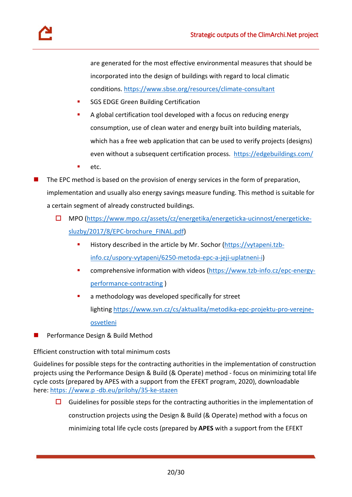are generated for the most effective environmental measures that should be incorporated into the design of buildings with regard to local climatic conditions[. https://www.sbse.org/resources/climate-consultant](https://www.sbse.org/resources/climate-consultant)

- SGS EDGE Green Building Certification
- A global certification tool developed with a focus on reducing energy consumption, use of clean water and energy built into building materials, which has a free web application that can be used to verify projects (designs) even without a subsequent certification process. <https://edgebuildings.com/>
- etc.
- The EPC method is based on the provision of energy services in the form of preparation, implementation and usually also energy savings measure funding. This method is suitable for a certain segment of already constructed buildings.
	- MPO [\(https://www.mpo.cz/assets/cz/energetika/energeticka-ucinnost/energeticke](https://www.mpo.cz/assets/cz/energetika/energeticka-ucinnost/energeticke-sluzby/2017/8/EPC-brochure_FINAL.pdf)[sluzby/2017/8/EPC-brochure\\_FINAL.pdf\)](https://www.mpo.cz/assets/cz/energetika/energeticka-ucinnost/energeticke-sluzby/2017/8/EPC-brochure_FINAL.pdf)
		- History described in the article by Mr. Sochor [\(https://vytapeni.tzb](https://vytapeni.tzb-info.cz/uspory-vytapeni/6250-metoda-epc-a-jeji-uplatneni-i)[info.cz/uspory-vytapeni/6250-metoda-epc-a-jeji-uplatneni-i\)](https://vytapeni.tzb-info.cz/uspory-vytapeni/6250-metoda-epc-a-jeji-uplatneni-i)
		- comprehensive information with videos [\(https://www.tzb-info.cz/epc-energy](https://www.tzb-info.cz/epc-energy-performance-contracting)[performance-contracting](https://www.tzb-info.cz/epc-energy-performance-contracting) )
		- a methodology was developed specifically for street lighting [https://www.svn.cz/cs/aktualita/metodika-epc-projektu-pro-verejne](https://www.svn.cz/cs/aktualita/metodika-epc-projektu-pro-verejne-osvetleni)[osvetleni](https://www.svn.cz/cs/aktualita/metodika-epc-projektu-pro-verejne-osvetleni)
- Performance Design & Build Method

Efficient construction with total minimum costs

Guidelines for possible steps for the contracting authorities in the implementation of construction projects using the Performance Design & Build (& Operate) method - focus on minimizing total life cycle costs (prepared by APES with a support from the EFEKT program, 2020), downloadable here: [https: //www.p -db.eu/prilohy/35-ke-stazen](https://www.p-db.eu/prilohy/35-ke-stazen)

 $\Box$  Guidelines for possible steps for the contracting authorities in the implementation of construction projects using the Design & Build (& Operate) method with a focus on minimizing total life cycle costs (prepared by **APES** with a support from the EFEKT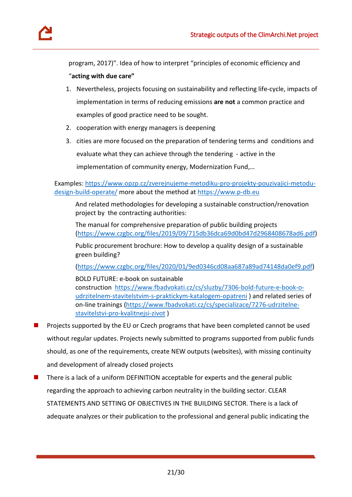program, 2017)". Idea of how to interpret "principles of economic efficiency and

"**acting with due care"**

- 1. Nevertheless, projects focusing on sustainability and reflecting life-cycle, impacts of implementation in terms of reducing emissions **are not** a common practice and examples of good practice need to be sought.
- 2. cooperation with energy managers is deepening
- 3. cities are more focused on the preparation of tendering terms and conditions and evaluate what they can achieve through the tendering - active in the implementation of community energy, Modernization Fund,…

Examples: [https://www.opzp.cz/zverejnujeme-metodiku-pro-projekty-pouzivajici-metodu](https://www.opzp.cz/zverejnujeme-metodiku-pro-projekty-pouzivajici-metodu-design-build-operate/)[design-build-operate/](https://www.opzp.cz/zverejnujeme-metodiku-pro-projekty-pouzivajici-metodu-design-build-operate/) more about the method at [https://www.p-db.eu](https://www.p-db.eu/)

And related methodologies for developing a sustainable construction/renovation project by the contracting authorities:

The manual for comprehensive preparation of public building projects [\(https://www.czgbc.org/files/2019/09/715db36dca69d0bd47d2968408678ad6.pdf\)](https://www.czgbc.org/files/2019/09/715db36dca69d0bd47d2968408678ad6.pdf)

Public procurement brochure: How to develop a quality design of a sustainable green building?

[\(https://www.czgbc.org/files/2020/01/9ed0346cd08aa687a89ad74148da0ef9.pdf\)](https://www.czgbc.org/files/2020/01/9ed0346cd08aa687a89ad74148da0ef9.pdf)

BOLD FUTURE: e-book on sustainable construction [https://www.fbadvokati.cz/cs/sluzby/7306-bold-future-e-book-o](https://www.fbadvokati.cz/cs/sluzby/7306-bold-future-e-book-o-udrzitelnem-stavitelstvim-s-praktickym-katalogem-opatreni)[udrzitelnem-stavitelstvim-s-praktickym-katalogem-opatreni](https://www.fbadvokati.cz/cs/sluzby/7306-bold-future-e-book-o-udrzitelnem-stavitelstvim-s-praktickym-katalogem-opatreni) ) and related series of on-line trainings [\(https://www.fbadvokati.cz/cs/specializace/7276-udrzitelne](https://www.fbadvokati.cz/cs/specializace/7276-udrzitelne-stavitelstvi-pro-kvalitnejsi-zivot)[stavitelstvi-pro-kvalitnejsi-zivot](https://www.fbadvokati.cz/cs/specializace/7276-udrzitelne-stavitelstvi-pro-kvalitnejsi-zivot) )

- Projects supported by the EU or Czech programs that have been completed cannot be used without regular updates. Projects newly submitted to programs supported from public funds should, as one of the requirements, create NEW outputs (websites), with missing continuity and development of already closed projects
- There is a lack of a uniform DEFINITION acceptable for experts and the general public regarding the approach to achieving carbon neutrality in the building sector. CLEAR STATEMENTS AND SETTING OF OBJECTIVES IN THE BUILDING SECTOR. There is a lack of adequate analyzes or their publication to the professional and general public indicating the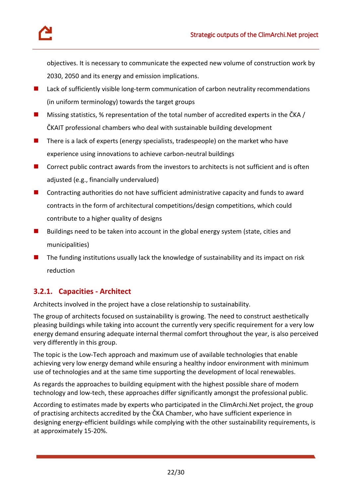

objectives. It is necessary to communicate the expected new volume of construction work by 2030, 2050 and its energy and emission implications.

- **Lack of sufficiently visible long-term communication of carbon neutrality recommendations** (in uniform terminology) towards the target groups
- **Missing statistics, % representation of the total number of accredited experts in the ČKA /** ČKAIT professional chambers who deal with sustainable building development
- $\blacksquare$  There is a lack of experts (energy specialists, tradespeople) on the market who have experience using innovations to achieve carbon-neutral buildings
- $\blacksquare$  Correct public contract awards from the investors to architects is not sufficient and is often adjusted (e.g., financially undervalued)
- Contracting authorities do not have sufficient administrative capacity and funds to award contracts in the form of architectural competitions/design competitions, which could contribute to a higher quality of designs
- **Buildings need to be taken into account in the global energy system (state, cities and** municipalities)
- $\blacksquare$  The funding institutions usually lack the knowledge of sustainability and its impact on risk reduction

### **3.2.1. Capacities - Architect**

Architects involved in the project have a close relationship to sustainability.

The group of architects focused on sustainability is growing. The need to construct aesthetically pleasing buildings while taking into account the currently very specific requirement for a very low energy demand ensuring adequate internal thermal comfort throughout the year, is also perceived very differently in this group.

The topic is the Low-Tech approach and maximum use of available technologies that enable achieving very low energy demand while ensuring a healthy indoor environment with minimum use of technologies and at the same time supporting the development of local renewables.

As regards the approaches to building equipment with the highest possible share of modern technology and low-tech, these approaches differ significantly amongst the professional public.

According to estimates made by experts who participated in the ClimArchi.Net project, the group of practising architects accredited by the ČKA Chamber, who have sufficient experience in designing energy-efficient buildings while complying with the other sustainability requirements, is at approximately 15-20%.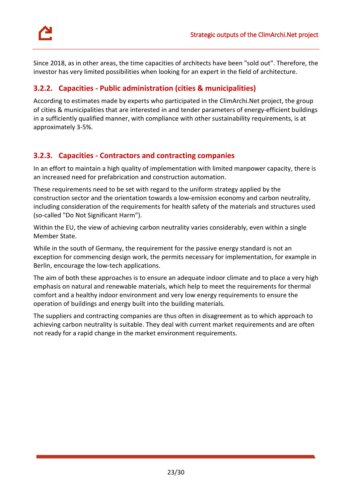

Since 2018, as in other areas, the time capacities of architects have been "sold out". Therefore, the investor has very limited possibilities when looking for an expert in the field of architecture.

### **3.2.2. Capacities - Public administration (cities & municipalities)**

According to estimates made by experts who participated in the ClimArchi.Net project, the group of cities & municipalities that are interested in and tender parameters of energy-efficient buildings in a sufficiently qualified manner, with compliance with other sustainability requirements, is at approximately 3-5%.

### **3.2.3. Capacities - Contractors and contracting companies**

In an effort to maintain a high quality of implementation with limited manpower capacity, there is an increased need for prefabrication and construction automation.

These requirements need to be set with regard to the uniform strategy applied by the construction sector and the orientation towards a low-emission economy and carbon neutrality, including consideration of the requirements for health safety of the materials and structures used (so-called "Do Not Significant Harm").

Within the EU, the view of achieving carbon neutrality varies considerably, even within a single Member State.

While in the south of Germany, the requirement for the passive energy standard is not an exception for commencing design work, the permits necessary for implementation, for example in Berlin, encourage the low-tech applications.

The aim of both these approaches is to ensure an adequate indoor climate and to place a very high emphasis on natural and renewable materials, which help to meet the requirements for thermal comfort and a healthy indoor environment and very low energy requirements to ensure the operation of buildings and energy built into the building materials.

<span id="page-22-0"></span>The suppliers and contracting companies are thus often in disagreement as to which approach to achieving carbon neutrality is suitable. They deal with current market requirements and are often not ready for a rapid change in the market environment requirements.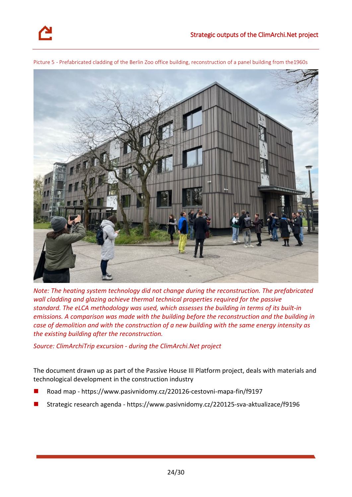

Picture 5 - Prefabricated cladding of the Berlin Zoo office building, reconstruction of a panel building from the1960s

*Note: The heating system technology did not change during the reconstruction. The prefabricated wall cladding and glazing achieve thermal technical properties required for the passive standard. The eLCA methodology was used, which assesses the building in terms of its built-in emissions. A comparison was made with the building before the reconstruction and the building in case of demolition and with the construction of a new building with the same energy intensity as the existing building after the reconstruction.* 

*Source: ClimArchiTrip excursion - during the ClimArchi.Net project*

The document drawn up as part of the Passive House III Platform project, deals with materials and technological development in the construction industry

- Road map *-* <https://www.pasivnidomy.cz/220126-cestovni-mapa-fin/f9197>
- Strategic research agenda *-* <https://www.pasivnidomy.cz/220125-sva-aktualizace/f9196>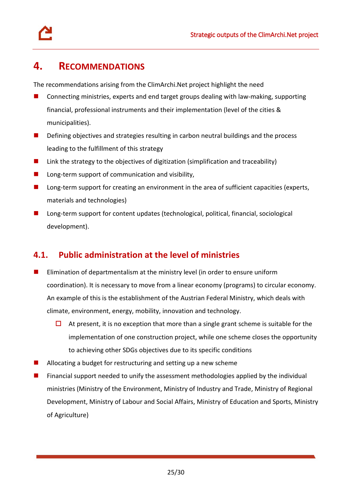# <span id="page-24-0"></span>**4. RECOMMENDATIONS**

The recommendations arising from the ClimArchi.Net project highlight the need

- $\Box$  Connecting ministries, experts and end target groups dealing with law-making, supporting financial, professional instruments and their implementation (level of the cities & municipalities).
- **Defining objectives and strategies resulting in carbon neutral buildings and the process** leading to the fulfillment of this strategy
- $\blacksquare$  Link the strategy to the objectives of digitization (simplification and traceability)
- $\blacksquare$  Long-term support of communication and visibility,
- **Long-term support for creating an environment in the area of sufficient capacities (experts,** materials and technologies)
- Long-term support for content updates (technological, political, financial, sociological development).

# <span id="page-24-1"></span>**4.1. Public administration at the level of ministries**

- **E** Elimination of departmentalism at the ministry level (in order to ensure uniform coordination). It is necessary to move from a linear economy (programs) to circular economy. An example of this is the establishment of the Austrian Federal Ministry, which deals with climate, environment, energy, mobility, innovation and technology.
	- $\Box$  At present, it is no exception that more than a single grant scheme is suitable for the implementation of one construction project, while one scheme closes the opportunity to achieving other SDGs objectives due to its specific conditions
- Allocating a budget for restructuring and setting up a new scheme
- Financial support needed to unify the assessment methodologies applied by the individual ministries (Ministry of the Environment, Ministry of Industry and Trade, Ministry of Regional Development, Ministry of Labour and Social Affairs, Ministry of Education and Sports, Ministry of Agriculture)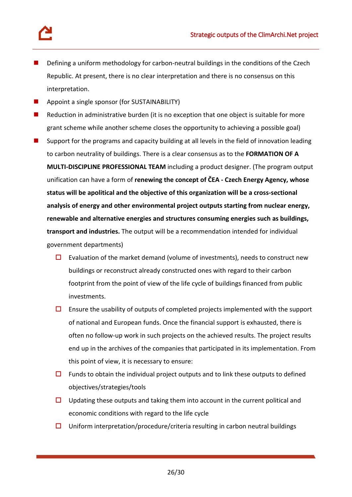- Defining a uniform methodology for carbon-neutral buildings in the conditions of the Czech Republic. At present, there is no clear interpretation and there is no consensus on this interpretation.
- Appoint a single sponsor (for SUSTAINABILITY)
- Reduction in administrative burden (it is no exception that one object is suitable for more grant scheme while another scheme closes the opportunity to achieving a possible goal)
- Support for the programs and capacity building at all levels in the field of innovation leading to carbon neutrality of buildings. There is a clear consensus as to the **FORMATION OF A MULTI-DISCIPLINE PROFESSIONAL TEAM** including a product designer. (The program output unification can have a form of **renewing the concept of ČEA - Czech Energy Agency, whose status will be apolitical and the objective of this organization will be a cross-sectional analysis of energy and other environmental project outputs starting from nuclear energy, renewable and alternative energies and structures consuming energies such as buildings, transport and industries.** The output will be a recommendation intended for individual government departments)
	- $\square$  Evaluation of the market demand (volume of investments), needs to construct new buildings or reconstruct already constructed ones with regard to their carbon footprint from the point of view of the life cycle of buildings financed from public investments.
	- $\square$  Ensure the usability of outputs of completed projects implemented with the support of national and European funds. Once the financial support is exhausted, there is often no follow-up work in such projects on the achieved results. The project results end up in the archives of the companies that participated in its implementation. From this point of view, it is necessary to ensure:
	- $\Box$  Funds to obtain the individual project outputs and to link these outputs to defined objectives/strategies/tools
	- $\Box$  Updating these outputs and taking them into account in the current political and economic conditions with regard to the life cycle
	- $\square$  Uniform interpretation/procedure/criteria resulting in carbon neutral buildings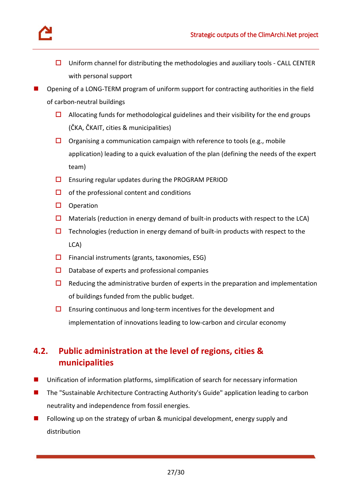

- $\Box$  Uniform channel for distributing the methodologies and auxiliary tools CALL CENTER with personal support
- Opening of a LONG-TERM program of uniform support for contracting authorities in the field of carbon-neutral buildings
	- $\Box$  Allocating funds for methodological guidelines and their visibility for the end groups (ČKA, ČKAIT, cities & municipalities)
	- $\square$  Organising a communication campaign with reference to tools (e.g., mobile application) leading to a quick evaluation of the plan (defining the needs of the expert team)
	- $\square$  Ensuring regular updates during the PROGRAM PERIOD
	- $\Box$  of the professional content and conditions
	- $\square$  Operation
	- $\Box$  Materials (reduction in energy demand of built-in products with respect to the LCA)
	- $\Box$  Technologies (reduction in energy demand of built-in products with respect to the LCA)
	- $\Box$  Financial instruments (grants, taxonomies, ESG)
	- $\square$  Database of experts and professional companies
	- $\Box$  Reducing the administrative burden of experts in the preparation and implementation of buildings funded from the public budget.
	- $\square$  Ensuring continuous and long-term incentives for the development and implementation of innovations leading to low-carbon and circular economy

# <span id="page-26-0"></span>**4.2. Public administration at the level of regions, cities & municipalities**

- Unification of information platforms, simplification of search for necessary information
- The "Sustainable Architecture Contracting Authority's Guide" application leading to carbon neutrality and independence from fossil energies.
- Following up on the strategy of urban & municipal development, energy supply and distribution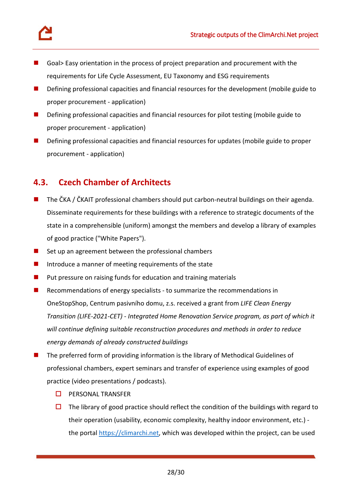

- Goal> Easy orientation in the process of project preparation and procurement with the requirements for Life Cycle Assessment, EU Taxonomy and ESG requirements
- **Defining professional capacities and financial resources for the development (mobile guide to** proper procurement - application)
- Defining professional capacities and financial resources for pilot testing (mobile guide to proper procurement - application)
- **Defining professional capacities and financial resources for updates (mobile guide to proper** procurement - application)

# <span id="page-27-0"></span>**4.3. Czech Chamber of Architects**

- The ČKA / ČKAIT professional chambers should put carbon-neutral buildings on their agenda. Disseminate requirements for these buildings with a reference to strategic documents of the state in a comprehensible (uniform) amongst the members and develop a library of examples of good practice ("White Papers").
- $\blacksquare$  Set up an agreement between the professional chambers
- Introduce a manner of meeting requirements of the state
- $\blacksquare$  Put pressure on raising funds for education and training materials
- **Recommendations of energy specialists to summarize the recommendations in** OneStopShop, Centrum pasivního domu, z.s. received a grant from *LIFE Clean Energy Transition (LIFE-2021-CET) - Integrated Home Renovation Service program, as part of which it will continue defining suitable reconstruction procedures and methods in order to reduce energy demands of already constructed buildings*
- The preferred form of providing information is the library of Methodical Guidelines of professional chambers, expert seminars and transfer of experience using examples of good practice (video presentations / podcasts).
	- $\Box$  PERSONAL TRANSFER
	- $\Box$  The library of good practice should reflect the condition of the buildings with regard to their operation (usability, economic complexity, healthy indoor environment, etc.) the portal [https://climarchi.net,](https://climarchi.net/) which was developed within the project, can be used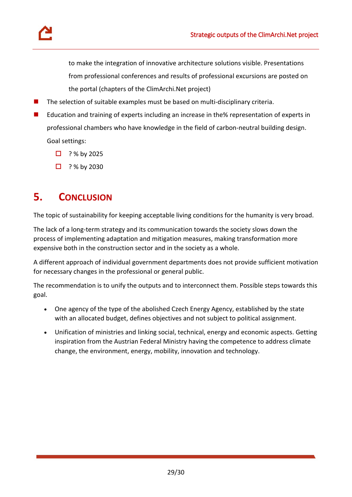

- The selection of suitable examples must be based on multi-disciplinary criteria.
- Education and training of experts including an increase in the% representation of experts in professional chambers who have knowledge in the field of carbon-neutral building design. Goal settings:
	- $\Box$  ? % by 2025
	- $\Box$  ? % by 2030

# <span id="page-28-0"></span>**5. CONCLUSION**

The topic of sustainability for keeping acceptable living conditions for the humanity is very broad.

The lack of a long-term strategy and its communication towards the society slows down the process of implementing adaptation and mitigation measures, making transformation more expensive both in the construction sector and in the society as a whole.

A different approach of individual government departments does not provide sufficient motivation for necessary changes in the professional or general public.

The recommendation is to unify the outputs and to interconnect them. Possible steps towards this goal.

- One agency of the type of the abolished Czech Energy Agency, established by the state with an allocated budget, defines objectives and not subject to political assignment.
- Unification of ministries and linking social, technical, energy and economic aspects. Getting inspiration from the Austrian Federal Ministry having the competence to address climate change, the environment, energy, mobility, innovation and technology.